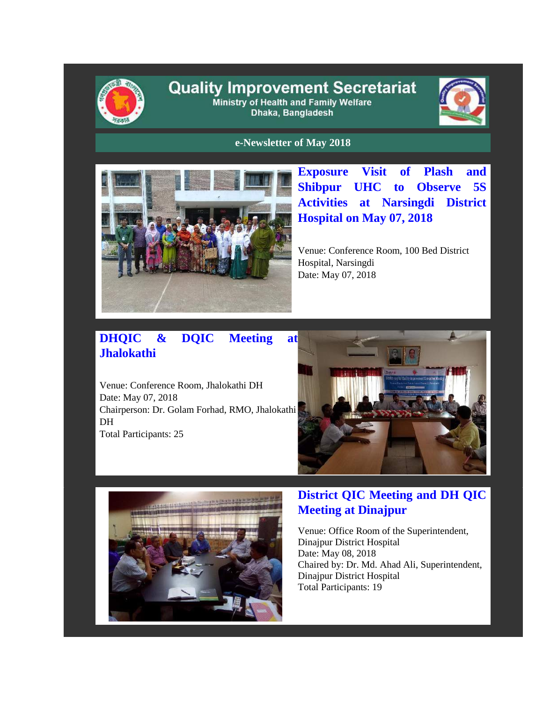

#### **Quality Improvement Secretariat** Ministry of Health and Family Welfare Dhaka, Bangladesh



**e-Newsletter of May 2018**



**Exposure Visit of Plash and Shibpur UHC to Observe 5S Activities at Narsingdi District Hospital on May 07, 2018**

Venue: Conference Room, 100 Bed District Hospital, Narsingdi Date: May 07, 2018

# **DHQIC & DQIC Meeting at Jhalokathi**

Venue: Conference Room, Jhalokathi DH Date: May 07, 2018 Chairperson: Dr. Golam Forhad, RMO, Jhalokathi DH Total Participants: 25





### **District QIC Meeting and DH QIC Meeting at Dinajpur**

Venue: Office Room of the Superintendent, Dinajpur District Hospital Date: May 08, 2018 Chaired by: Dr. Md. Ahad Ali, Superintendent, Dinajpur District Hospital Total Participants: 19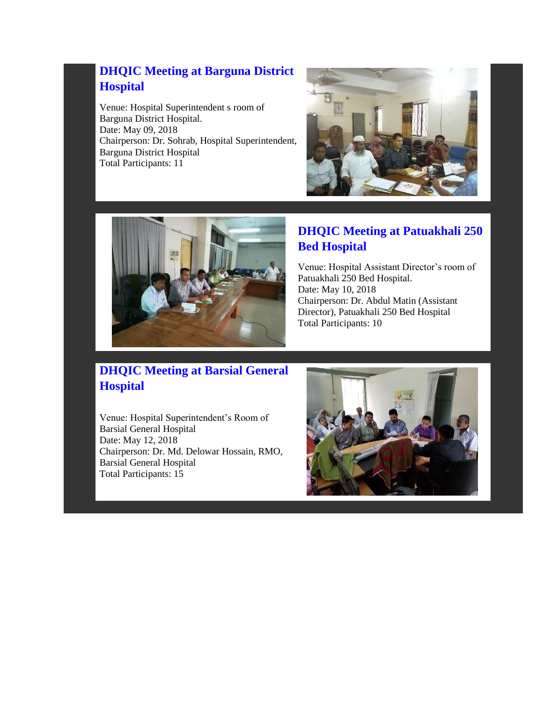# **DHQIC Meeting at Barguna District Hospital**

Venue: Hospital Superintendent s room of Barguna District Hospital. Date: May 09, 2018 Chairperson: Dr. Sohrab, Hospital Superintendent, Barguna District Hospital Total Participants: 11





#### **DHQIC Meeting at Patuakhali 250 Bed Hospital**

Venue: Hospital Assistant Director's room of Patuakhali 250 Bed Hospital. Date: May 10, 2018 Chairperson: Dr. Abdul Matin (Assistant Director), Patuakhali 250 Bed Hospital Total Participants: 10

# **DHQIC Meeting at Barsial General Hospital**

Venue: Hospital Superintendent's Room of Barsial General Hospital Date: May 12, 2018 Chairperson: Dr. Md. Delowar Hossain, RMO, Barsial General Hospital Total Participants: 15

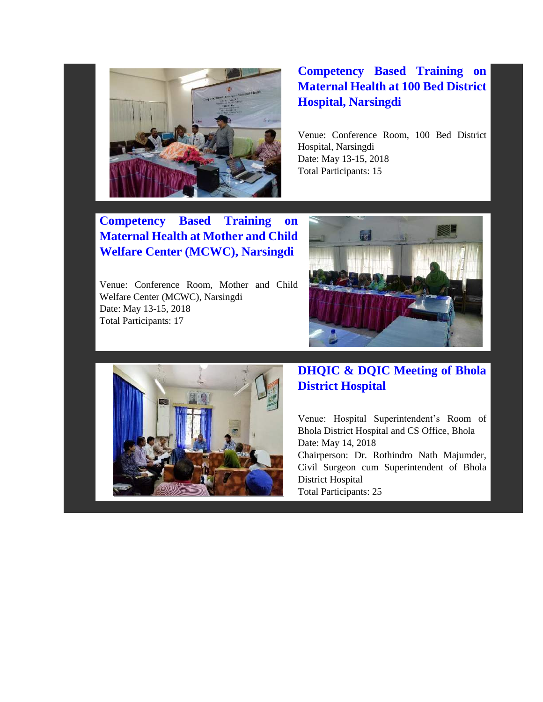

# **Competency Based Training on Maternal Health at 100 Bed District Hospital, Narsingdi**

Venue: Conference Room, 100 Bed District Hospital, Narsingdi Date: May 13-15, 2018 Total Participants: 15

**Competency Based Training on Maternal Health at Mother and Child Welfare Center (MCWC), Narsingdi**

Venue: Conference Room, Mother and Child Welfare Center (MCWC), Narsingdi Date: May 13-15, 2018 Total Participants: 17





### **DHQIC & DQIC Meeting of Bhola District Hospital**

Venue: Hospital Superintendent's Room of Bhola District Hospital and CS Office, Bhola Date: May 14, 2018 Chairperson: Dr. Rothindro Nath Majumder,

Civil Surgeon cum Superintendent of Bhola District Hospital

Total Participants: 25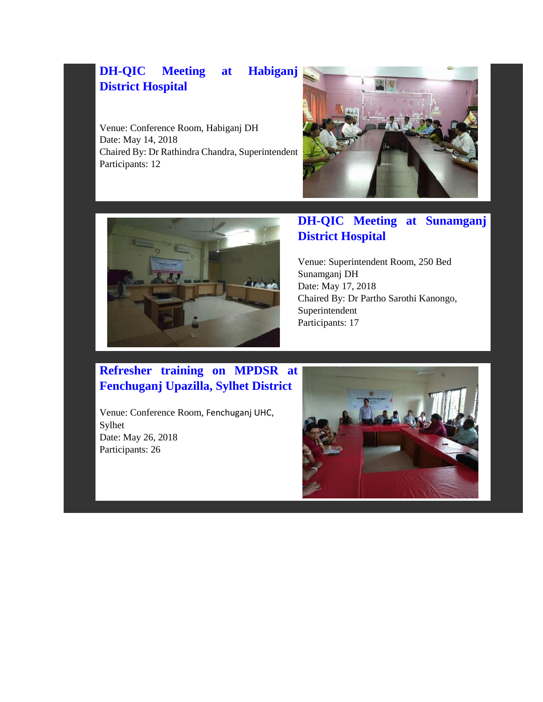# **DH-QIC Meeting at Habiganj District Hospital**

Venue: Conference Room, Habiganj DH Date: May 14, 2018 Chaired By: Dr Rathindra Chandra, Superintendent Participants: 12





# **DH-QIC Meeting at Sunamganj District Hospital**

Venue: Superintendent Room, 250 Bed Sunamganj DH Date: May 17, 2018 Chaired By: Dr Partho Sarothi Kanongo, Superintendent Participants: 17

#### **Refresher training on MPDSR at Fenchuganj Upazilla, Sylhet District**

Venue: Conference Room, Fenchuganj UHC, Sylhet Date: May 26, 2018 Participants: 26